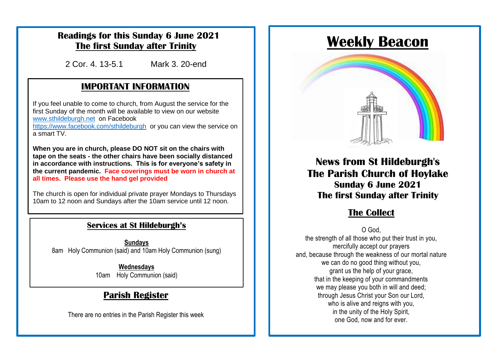### **Readings for this Sunday 6 June 2021 The first Sunday after Trinity**

2 Cor. 4. 13-5.1 Mark 3. 20-end

### **IMPORTANT INFORMATION**

[www.sthildeburgh.net](http://www.sthildeburgh.net/) on Facebook If you feel unable to come to church, from August the service for the first Sunday of the month will be available to view on our website

<https://www.facebook.com/sthildeburgh>or you can view the service on a smart TV.

**When you are in church, please DO NOT sit on the chairs with** tape on the seats - the other chairs have been socially distanced **|** in accordance with instructions. This is for everyone's safety in the current pandemic. Face coverings must be worn in church at <br>all times. Please use the band gel provided **all times. Please use the hand gel provided**

The church is open for individual private prayer Mondays to Thursdays 10am to 12 noon and Sundays after the 10am service until 12 noon.

## **The Church Centre remains closed for the time being for the time being.**

**Sundays** 8am Holy Communion (said) and 10am Holy Communion (sung)

> **Wednesdays** 10am Holy Communion (said)

### **Parish Register**

There are no entries in the Parish Register this week

# **Weekly Beacon**



**News from St Hildeburgh's The Parish Church of Hoylake Sunday 6 June 2021 The first Sunday after Trinity**

### $The Collect$

O God,

the strength of all those who put their trust in you, mercifully accept our prayers and, because through the weakness of our mortal nature we can do no good thing without you, grant us the help of your grace, that in the keeping of your commandments we may please you both in will and deed; through Jesus Christ your Son our Lord, who is alive and reigns with you. in the unity of the Holy Spirit, one God, now and for ever.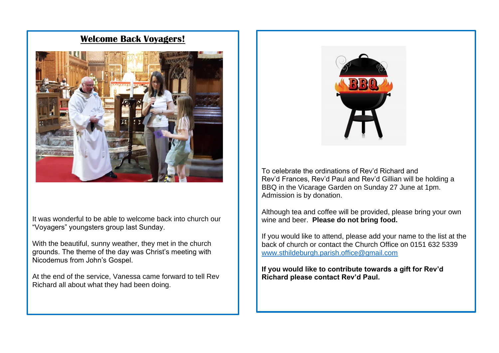#### **Welcome Back Voyagers!**



It was wonderful to be able to welcome back into church our "Voyagers" youngsters group last Sunday.

With the beautiful, sunny weather, they met in the church grounds. The theme of the day was Christ's meeting with Nicodemus from John's Gospel.

At the end of the service, Vanessa came forward to tell Rev Richard all about what they had been doing.



To celebrate the ordinations of Rev'd Richard and Rev'd Frances, Rev'd Paul and Rev'd Gillian will be holding a BBQ in the Vicarage Garden on Sunday 27 June at 1pm. Admission is by donation.

Although tea and coffee will be provided, please bring your own wine and beer. **Please do not bring food.**

If you would like to attend, please add your name to the list at the back of church or contact the Church Office on 0151 632 5339 [www.sthildeburgh.parish.office@gmail.com](http://www.sthildeburgh.parish.office@gmail.com)

**If you would like to contribute towards a gift for Rev'd Richard please contact Rev'd Paul.**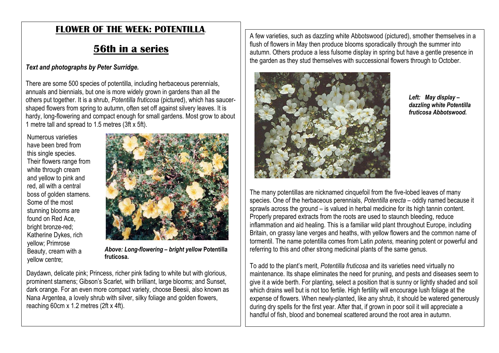## **FLOWER OF THE WEEK: POTENTILLA**.

## **56th in a series**

#### *Text and photographs by Peter Surridge.*

There are some 500 species of potentilla, including herbaceous perennials, annuals and biennials, but one is more widely grown in gardens than all the others put together. It is a shrub, *Potentilla fruticosa* (pictured), which has saucershaped flowers from spring to autumn, often set off against silvery leaves. It is hardy, long-flowering and compact enough for small gardens. Most grow to about 1 metre tall and spread to 1.5 metres (3ft x 5ft).

Numerous varieties have been bred from this single species. Their flowers range from white through cream and yellow to pink and red, all with a central boss of golden stamens. Some of the most stunning blooms are found on Red Ace, bright bronze-red; Katherine Dykes, rich yellow; Primrose Beauty, cream with a yellow centre;



*Above: Long-flowering – bright yellow* **Potentilla fruticosa.**

Daydawn, delicate pink; Princess, richer pink fading to white but with glorious, prominent stamens; Gibson's Scarlet, with brilliant, large blooms; and Sunset, dark orange. For an even more compact variety, choose Beesii, also known as Nana Argentea, a lovely shrub with silver, silky foliage and golden flowers, reaching 60cm x 1.2 metres (2ft x 4ft).

A few varieties, such as dazzling white Abbotswood (pictured), smother themselves in a flush of flowers in May then produce blooms sporadically through the summer into autumn. Others produce a less fulsome display in spring but have a gentle presence in the garden as they stud themselves with successional flowers through to October.



*Left: May display – dazzling white Potentilla fruticosa Abbotswood.*

The many potentillas are nicknamed cinquefoil from the five-lobed leaves of many species. One of the herbaceous perennials, *Potentilla erecta* – oddly named because it sprawls across the ground – is valued in herbal medicine for its high tannin content. Properly prepared extracts from the roots are used to staunch bleeding, reduce inflammation and aid healing. This is a familiar wild plant throughout Europe, including Britain, on grassy lane verges and heaths, with yellow flowers and the common name of tormentil. The name potentilla comes from Latin *potens,* meaning potent or powerful and referring to this and other strong medicinal plants of the same genus.

To add to the plant's merit, *Potentilla fruticosa* and its varieties need virtually no maintenance. Its shape eliminates the need for pruning, and pests and diseases seem to give it a wide berth. For planting, select a position that is sunny or lightly shaded and soil which drains well but is not too fertile. High fertility will encourage lush foliage at the expense of flowers. When newly-planted, like any shrub, it should be watered generously during dry spells for the first year. After that, if grown in poor soil it will appreciate a handful of fish, blood and bonemeal scattered around the root area in autumn.